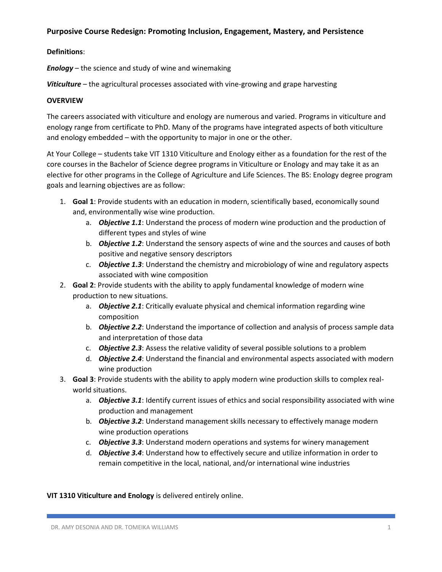## **Purposive Course Redesign: Promoting Inclusion, Engagement, Mastery, and Persistence**

## **Definitions**:

*Enology* – the science and study of wine and winemaking

*Viticulture* – the agricultural processes associated with vine-growing and grape harvesting

## **OVERVIEW**

The careers associated with viticulture and enology are numerous and varied. Programs in viticulture and enology range from certificate to PhD. Many of the programs have integrated aspects of both viticulture and enology embedded – with the opportunity to major in one or the other.

At Your College – students take VIT 1310 Viticulture and Enology either as a foundation for the rest of the core courses in the Bachelor of Science degree programs in Viticulture or Enology and may take it as an elective for other programs in the College of Agriculture and Life Sciences. The BS: Enology degree program goals and learning objectives are as follow:

- 1. **Goal 1**: Provide students with an education in modern, scientifically based, economically sound and, environmentally wise wine production.
	- a. *Objective 1.1*: Understand the process of modern wine production and the production of different types and styles of wine
	- b. *Objective 1.2*: Understand the sensory aspects of wine and the sources and causes of both positive and negative sensory descriptors
	- c. *Objective 1.3*: Understand the chemistry and microbiology of wine and regulatory aspects associated with wine composition
- 2. **Goal 2**: Provide students with the ability to apply fundamental knowledge of modern wine production to new situations.
	- a. *Objective 2.1*: Critically evaluate physical and chemical information regarding wine composition
	- b. *Objective 2.2*: Understand the importance of collection and analysis of process sample data and interpretation of those data
	- c. *Objective 2.3*: Assess the relative validity of several possible solutions to a problem
	- d. *Objective 2.4*: Understand the financial and environmental aspects associated with modern wine production
- 3. **Goal 3**: Provide students with the ability to apply modern wine production skills to complex realworld situations.
	- a. *Objective 3.1*: Identify current issues of ethics and social responsibility associated with wine production and management
	- b. *Objective 3.2*: Understand management skills necessary to effectively manage modern wine production operations
	- c. *Objective 3.3*: Understand modern operations and systems for winery management
	- d. *Objective 3.4*: Understand how to effectively secure and utilize information in order to remain competitive in the local, national, and/or international wine industries

## **VIT 1310 Viticulture and Enology** is delivered entirely online.